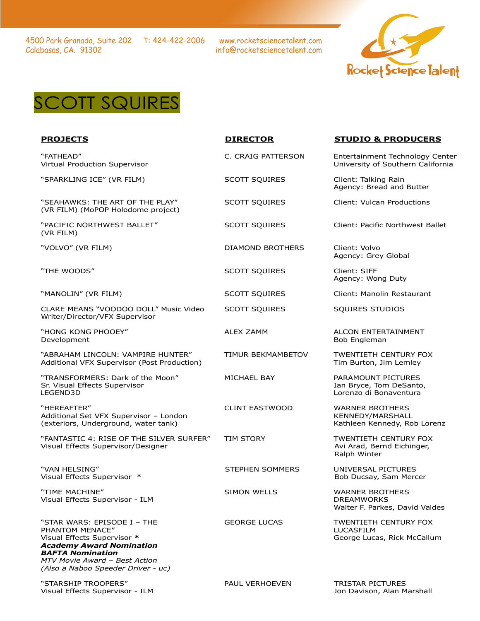4500 Park Granada, Suite 202 T: 424-422-2006 Calabasas, CA. 91302

www.rocketsciencetalent.com info@rocketsciencetalent.com





"FATHEAD" Virtual Production Supervisor

"HEREAFTER" Additional Set VFX Supervisor – London (exteriors, Underground, water tank)

"FANTASTIC 4: RISE OF THE SILVER SURFER" Visual Effects Supervisor/Designer

"VAN HELSING" Visual Effects Supervisor \*

"TIME MACHINE" Visual Effects Supervisor - ILM

"STAR WARS: EPISODE I – THE PHANTOM MENACE" Visual Effects Supervisor **\*** *Academy Award Nomination BAFTA Nomination MTV Movie Award – Best Action*

*(Also a Naboo Speeder Driver - uc)*

"STARSHIP TROOPERS" Visual Effects Supervisor - ILM

| Virtual Production Supervisor                                                    |                          | University of Southern Cali                                             |
|----------------------------------------------------------------------------------|--------------------------|-------------------------------------------------------------------------|
| "SPARKLING ICE" (VR FILM)                                                        | <b>SCOTT SQUIRES</b>     | Client: Talking Rain<br>Agency: Bread and Butter                        |
| "SEAHAWKS: THE ART OF THE PLAY"<br>(VR FILM) (MoPOP Holodome project)            | <b>SCOTT SOUIRES</b>     | Client: Vulcan Productions                                              |
| "PACIFIC NORTHWEST BALLET"<br>(VR FILM)                                          | SCOTT SQUIRES            | Client: Pacific Northwest B                                             |
| "VOLVO" (VR FILM)                                                                | <b>DIAMOND BROTHERS</b>  | Client: Volvo<br>Agency: Grey Global                                    |
| "THE WOODS"                                                                      | <b>SCOTT SOUIRES</b>     | Client: SIFF<br>Agency: Wong Duty                                       |
| "MANOLIN" (VR FILM)                                                              | <b>SCOTT SOUIRES</b>     | Client: Manolin Restaurant                                              |
| CLARE MEANS "VOODOO DOLL" Music Video<br>Writer/Director/VFX Supervisor          | <b>SCOTT SQUIRES</b>     | SOUIRES STUDIOS                                                         |
| "HONG KONG PHOOEY"<br>Development                                                | <b>ALEX ZAMM</b>         | ALCON ENTERTAINMENT<br>Bob Engleman                                     |
| "ABRAHAM LINCOLN: VAMPIRE HUNTER"<br>Additional VFX Supervisor (Post Production) | <b>TIMUR BEKMAMBETOV</b> | <b>TWENTIETH CENTURY FOX</b><br>Tim Burton, Jim Lemley                  |
| "TRANSFORMERS: Dark of the Moon"<br>Sr. Visual Effects Supervisor<br>LEGEND3D    | <b>MICHAEL BAY</b>       | PARAMOUNT PICTURES<br>Ian Bryce, Tom DeSanto,<br>Lorenzo di Bonaventura |
| $H + F - F - F - F - F$                                                          |                          |                                                                         |

# **PROJECTS DIRECTOR STUDIO & PRODUCERS**

C. CRAIG PATTERSON Entertainment Technology Center sity of Southern California

Pacific Northwest Ballet

CLINT EASTWOOD WARNER BROTHERS KENNEDY/MARSHALL Kathleen Kennedy, Rob Lorenz

TIM STORY **TWENTIETH CENTURY FOX** Avi Arad, Bernd Eichinger, Ralph Winter

STEPHEN SOMMERS UNIVERSAL PICTURES Bob Ducsay, Sam Mercer

SIMON WELLS WARNER BROTHERS DREAMWORKS Walter F. Parkes, David Valdes

GEORGE LUCAS TWENTIETH CENTURY FOX LUCASFILM George Lucas, Rick McCallum

PAUL VERHOEVEN TRISTAR PICTURES Jon Davison, Alan Marshall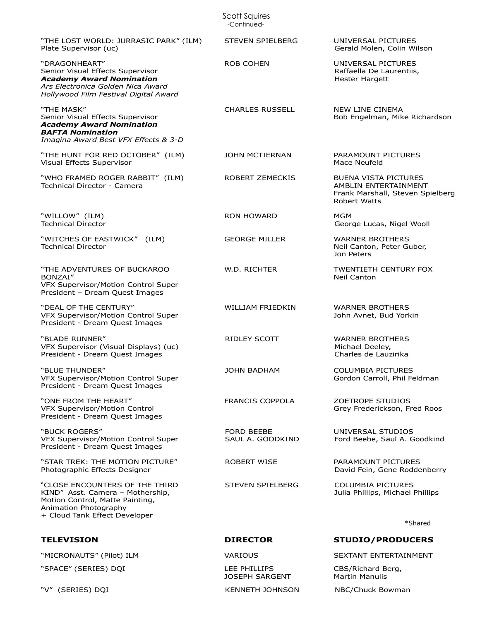Scott Squires -Continued-

"THE LOST WORLD: JURRASIC PARK" (ILM) Plate Supervisor (uc) "DRAGONHEART" Senior Visual Effects Supervisor *Academy Award Nomination Ars Electronica Golden Nica Award Hollywood Film Festival Digital Award* "THE MASK" Senior Visual Effects Supervisor *Academy Award Nomination BAFTA Nomination Imagina Award Best VFX Effects & 3-D* "THE HUNT FOR RED OCTOBER" (ILM) Visual Effects Supervisor

"WHO FRAMED ROGER RABBIT" (ILM) Technical Director - Camera

"WILLOW" (ILM) Technical Director

"WITCHES OF EASTWICK" (ILM) Technical Director

"THE ADVENTURES OF BUCKAROO BONZAI" VFX Supervisor/Motion Control Super President – Dream Quest Images

"DEAL OF THE CENTURY" VFX Supervisor/Motion Control Super President - Dream Quest Images

"BLADE RUNNER" VFX Supervisor (Visual Displays) (uc) President - Dream Quest Images

"BLUE THUNDER" VFX Supervisor/Motion Control Super President - Dream Quest Images

"ONE FROM THE HEART" VFX Supervisor/Motion Control President - Dream Quest Images

"BUCK ROGERS" VFX Supervisor/Motion Control Super President - Dream Quest Images

"STAR TREK: THE MOTION PICTURE" Photographic Effects Designer

"CLOSE ENCOUNTERS OF THE THIRD KIND" Asst. Camera – Mothership, Motion Control, Matte Painting, Animation Photography + Cloud Tank Effect Developer

## **TELEVISION DIRECTOR STUDIO/PRODUCERS**

"MICRONAUTS" (Pilot) ILM VARIOUS SEXTANT ENTERTAINMENT

"SPACE" (SERIES) DQI LEE PHILLIPS

STEVEN SPIELBERG UNIVERSAL PICTURES Gerald Molen, Colin Wilson

ROB COHEN UNIVERSAL PICTURES Raffaella De Laurentiis, Hester Hargett

CHARLES RUSSELL NEW LINE CINEMA Bob Engelman, Mike Richardson

JOHN MCTIERNAN PARAMOUNT PICTURES Mace Neufeld

ROBERT ZEMECKIS BUENA VISTA PICTURES AMBLIN ENTERTAINMENT Frank Marshall, Steven Spielberg Robert Watts

RON HOWARD MGM George Lucas, Nigel Wooll

GEORGE MILLER WARNER BROTHERS Neil Canton, Peter Guber, Jon Peters

W.D. RICHTER TWENTIETH CENTURY FOX Neil Canton

WILLIAM FRIEDKIN WARNER BROTHERS John Avnet, Bud Yorkin

RIDLEY SCOTT WARNER BROTHERS Michael Deeley, Charles de Lauzirika

> COLUMBIA PICTURES Gordon Carroll, Phil Feldman

ZOETROPE STUDIOS Grey Frederickson, Fred Roos

UNIVERSAL STUDIOS Ford Beebe, Saul A. Goodkind

ROBERT WISE PARAMOUNT PICTURES David Fein, Gene Roddenberry

> COLUMBIA PICTURES Julia Phillips, Michael Phillips

> > \*Shared

JOSEPH SARGENT

"V" (SERIES) DQI KENNETH JOHNSON NBC/Chuck Bowman

CBS/Richard Berg,

Martin Manulis

JOHN BADHAM

FRANCIS COPPOLA

FORD BEEBE SAUL A. GOODKIND

STEVEN SPIELBERG